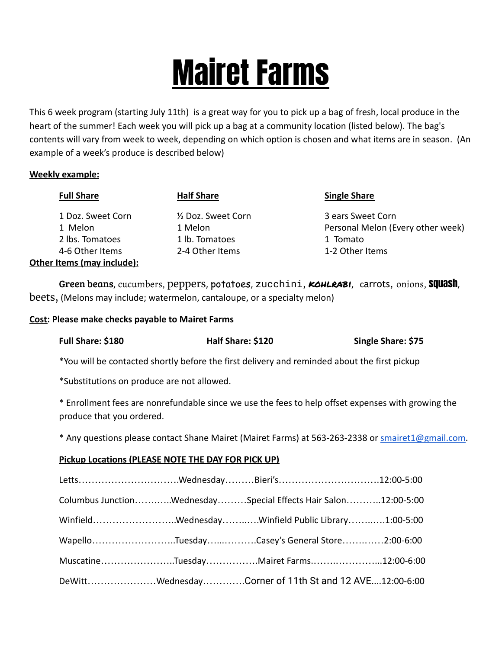## Mairet Farms

This 6 week program (starting July 11th) is a great way for you to pick up a bag of fresh, local produce in the heart of the summer! Each week you will pick up a bag at a community location (listed below). The bag's contents will vary from week to week, depending on which option is chosen and what items are in season. (An example of a week's produce is described below)

## **Weekly example:**

| <b>Full Share</b>          | <b>Half Share</b>   | <b>Single Share</b>               |
|----------------------------|---------------------|-----------------------------------|
| 1 Doz. Sweet Corn          | 1/2 Doz. Sweet Corn | 3 ears Sweet Corn                 |
| 1 Melon                    | 1 Melon             | Personal Melon (Every other week) |
| 2 lbs. Tomatoes            | 1 lb. Tomatoes      | 1 Tomato                          |
| 4-6 Other Items            | 2-4 Other Items     | 1-2 Other Items                   |
| Other Items (may include): |                     |                                   |

Green beans, cucumbers, peppers, potatoes, zucchini, **KOHLRABI**, carrots, onions, **Squash**, beets, (Melons may include; watermelon, cantaloupe, or a specialty melon)

## **Cost: Please make checks payable to Mairet Farms**

| Full Share: \$180                                              | Half Share: \$120                                                                                  | Single Share: \$75                                                                           |  |  |  |  |  |  |
|----------------------------------------------------------------|----------------------------------------------------------------------------------------------------|----------------------------------------------------------------------------------------------|--|--|--|--|--|--|
|                                                                |                                                                                                    | *You will be contacted shortly before the first delivery and reminded about the first pickup |  |  |  |  |  |  |
| *Substitutions on produce are not allowed.                     |                                                                                                    |                                                                                              |  |  |  |  |  |  |
| produce that you ordered.                                      | * Enrollment fees are nonrefundable since we use the fees to help offset expenses with growing the |                                                                                              |  |  |  |  |  |  |
|                                                                | * Any questions please contact Shane Mairet (Mairet Farms) at 563-263-2338 or smairet1@gmail.com.  |                                                                                              |  |  |  |  |  |  |
| <b>Pickup Locations (PLEASE NOTE THE DAY FOR PICK UP)</b>      |                                                                                                    |                                                                                              |  |  |  |  |  |  |
|                                                                | LettsWednesdayBieri's12:00-5:00                                                                    |                                                                                              |  |  |  |  |  |  |
| Columbus JunctionWednesdaySpecial Effects Hair Salon12:00-5:00 |                                                                                                    |                                                                                              |  |  |  |  |  |  |
| WinfieldWednesdayWinfield Public Library1:00-5:00              |                                                                                                    |                                                                                              |  |  |  |  |  |  |
|                                                                | WapelloTuesdayCasey's General Store2:00-6:00                                                       |                                                                                              |  |  |  |  |  |  |
|                                                                |                                                                                                    |                                                                                              |  |  |  |  |  |  |

Muscatine…………………..Tuesday…………….Mairet Farms.…….…………...12:00-6:00

DeWitt…………………Wednesday………….Corner of 11th St and 12 AVE....12:00-6:00